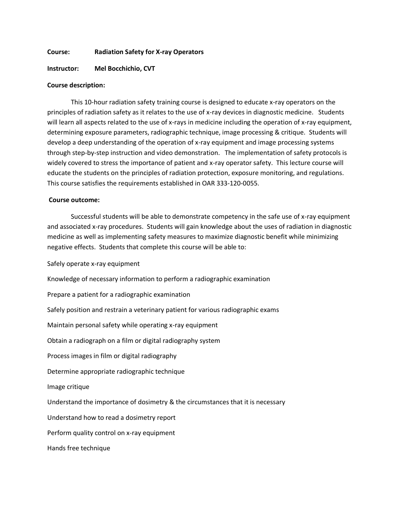#### **Course: Radiation Safety for X-ray Operators**

## **Instructor: Mel Bocchichio, CVT**

#### **Course description:**

This 10-hour radiation safety training course is designed to educate x-ray operators on the principles of radiation safety as it relates to the use of x-ray devices in diagnostic medicine. Students will learn all aspects related to the use of x-rays in medicine including the operation of x-ray equipment, determining exposure parameters, radiographic technique, image processing & critique. Students will develop a deep understanding of the operation of x-ray equipment and image processing systems through step-by-step instruction and video demonstration. The implementation of safety protocols is widely covered to stress the importance of patient and x-ray operator safety. This lecture course will educate the students on the principles of radiation protection, exposure monitoring, and regulations. This course satisfies the requirements established in OAR 333-120-0055.

# **Course outcome:**

Successful students will be able to demonstrate competency in the safe use of x-ray equipment and associated x-ray procedures. Students will gain knowledge about the uses of radiation in diagnostic medicine as well as implementing safety measures to maximize diagnostic benefit while minimizing negative effects. Students that complete this course will be able to:

Safely operate x-ray equipment

Knowledge of necessary information to perform a radiographic examination

Prepare a patient for a radiographic examination

Safely position and restrain a veterinary patient for various radiographic exams

Maintain personal safety while operating x-ray equipment

Obtain a radiograph on a film or digital radiography system

Process images in film or digital radiography

Determine appropriate radiographic technique

Image critique

Understand the importance of dosimetry & the circumstances that it is necessary

Understand how to read a dosimetry report

Perform quality control on x-ray equipment

Hands free technique